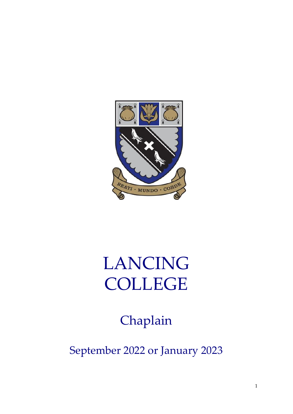

# LANCING COLLEGE

Chaplain

September 2022 or January 2023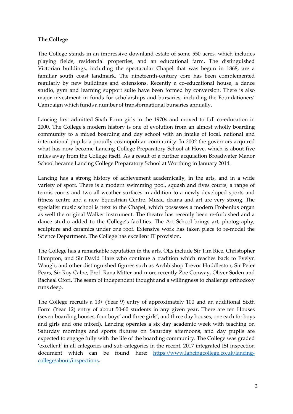#### **The College**

The College stands in an impressive downland estate of some 550 acres, which includes playing fields, residential properties, and an educational farm. The distinguished Victorian buildings, including the spectacular Chapel that was begun in 1868, are a familiar south coast landmark. The nineteenth-century core has been complemented regularly by new buildings and extensions. Recently a co-educational house, a dance studio, gym and learning support suite have been formed by conversion. There is also major investment in funds for scholarships and bursaries, including the Foundationers' Campaign which funds a number of transformational bursaries annually.

Lancing first admitted Sixth Form girls in the 1970s and moved to full co-education in 2000. The College's modern history is one of evolution from an almost wholly boarding community to a mixed boarding and day school with an intake of local, national and international pupils: a proudly cosmopolitan community. In 2002 the governors acquired what has now become Lancing College Preparatory School at Hove, which is about five miles away from the College itself. As a result of a further acquisition Broadwater Manor School became Lancing College Preparatory School at Worthing in January 2014.

Lancing has a strong history of achievement academically, in the arts, and in a wide variety of sport. There is a modern swimming pool, squash and fives courts, a range of tennis courts and two all-weather surfaces in addition to a newly developed sports and fitness centre and a new Equestrian Centre. Music, drama and art are very strong. The specialist music school is next to the Chapel, which possesses a modern Frobenius organ as well the original Walker instrument. The theatre has recently been re-furbished and a dance studio added to the College's facilities. The Art School brings art, photography, sculpture and ceramics under one roof. Extensive work has taken place to re-model the Science Department. The College has excellent IT provision.

The College has a remarkable reputation in the arts. OLs include Sir Tim Rice, Christopher Hampton, and Sir David Hare who continue a tradition which reaches back to Evelyn Waugh, and other distinguished figures such as Archbishop Trevor Huddleston, Sir Peter Pears, Sir Roy Calne, Prof. Rana Mitter and more recently Zoe Conway, Oliver Soden and Racheal Ofori. The seam of independent thought and a willingness to challenge orthodoxy runs deep.

The College recruits a 13+ (Year 9) entry of approximately 100 and an additional Sixth Form (Year 12) entry of about 50-60 students in any given year*.* There are ten Houses (seven boarding houses, four boys' and three girls', and three day houses, one each for boys and girls and one mixed). Lancing operates a six day academic week with teaching on Saturday mornings and sports fixtures on Saturday afternoons, and day pupils are expected to engage fully with the life of the boarding community. The College was graded 'excellent' in all categories and sub-categories in the recent, 2017 integrated ISI inspection document which can be found here: [https://www.lancingcollege.co.uk/lancing](https://www.lancingcollege.co.uk/lancing-college/about/inspections)[college/about/inspections.](https://www.lancingcollege.co.uk/lancing-college/about/inspections)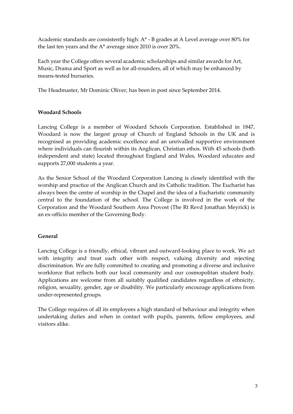Academic standards are consistently high: A\* - B grades at A Level average over 80% for the last ten years and the A\* average since 2010 is over 20%.

Each year the College offers several academic scholarships and similar awards for Art, Music, Drama and Sport as well as for all-rounders, all of which may be enhanced by means-tested bursaries.

The Headmaster, Mr Dominic Oliver, has been in post since September 2014.

#### **Woodard Schools**

Lancing College is a member of Woodard Schools Corporation. Established in 1847, Woodard is now the largest group of Church of England Schools in the UK and is recognised as providing academic excellence and an unrivalled supportive environment where individuals can flourish within its Anglican, Christian ethos. With 45 schools (both independent and state) located throughout England and Wales, Woodard educates and supports 27,000 students a year.

As the Senior School of the Woodard Corporation Lancing is closely identified with the worship and practice of the Anglican Church and its Catholic tradition. The Eucharist has always been the centre of worship in the Chapel and the idea of a Eucharistic community central to the foundation of the school. The College is involved in the work of the Corporation and the Woodard Southern Area Provost (The Rt Revd Jonathan Meyrick) is an ex-officio member of the Governing Body.

#### **General**

Lancing College is a friendly, ethical, vibrant and outward-looking place to work. We act with integrity and treat each other with respect, valuing diversity and rejecting discrimination. We are fully committed to creating and promoting a diverse and inclusive workforce that reflects both our local community and our cosmopolitan student body. Applications are welcome from all suitably qualified candidates regardless of ethnicity, religion, sexuality, gender, age or disability. We particularly encourage applications from under-represented groups.

The College requires of all its employees a high standard of behaviour and integrity when undertaking duties and when in contact with pupils, parents, fellow employees, and visitors alike.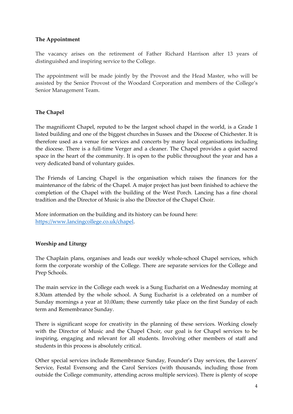## **The Appointment**

The vacancy arises on the retirement of Father Richard Harrison after 13 years of distinguished and inspiring service to the College.

The appointment will be made jointly by the Provost and the Head Master, who will be assisted by the Senior Provost of the Woodard Corporation and members of the College's Senior Management Team.

#### **The Chapel**

The magnificent Chapel, reputed to be the largest school chapel in the world, is a Grade 1 listed building and one of the biggest churches in Sussex and the Diocese of Chichester. It is therefore used as a venue for services and concerts by many local organisations including the diocese. There is a full-time Verger and a cleaner. The Chapel provides a quiet sacred space in the heart of the community. It is open to the public throughout the year and has a very dedicated band of voluntary guides.

The Friends of Lancing Chapel is the organisation which raises the finances for the maintenance of the fabric of the Chapel. A major project has just been finished to achieve the completion of the Chapel with the building of the West Porch. Lancing has a fine choral tradition and the Director of Music is also the Director of the Chapel Choir.

More information on the building and its history can be found here: [https://www.lancingcollege.co.uk/chapel.](https://www.lancingcollege.co.uk/chapel)

## **Worship and Liturgy**

The Chaplain plans, organises and leads our weekly whole-school Chapel services, which form the corporate worship of the College. There are separate services for the College and Prep Schools.

The main service in the College each week is a Sung Eucharist on a Wednesday morning at 8.30am attended by the whole school. A Sung Eucharist is a celebrated on a number of Sunday mornings a year at 10.00am; these currently take place on the first Sunday of each term and Remembrance Sunday.

There is significant scope for creativity in the planning of these services. Working closely with the Director of Music and the Chapel Choir, our goal is for Chapel services to be inspiring, engaging and relevant for all students. Involving other members of staff and students in this process is absolutely critical.

Other special services include Remembrance Sunday, Founder's Day services, the Leavers' Service, Festal Evensong and the Carol Services (with thousands, including those from outside the College community, attending across multiple services). There is plenty of scope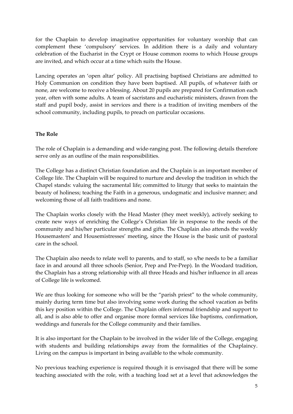for the Chaplain to develop imaginative opportunities for voluntary worship that can complement these 'compulsory' services. In addition there is a daily and voluntary celebration of the Eucharist in the Crypt or House common rooms to which House groups are invited, and which occur at a time which suits the House.

Lancing operates an 'open altar' policy. All practising baptised Christians are admitted to Holy Communion on condition they have been baptised. All pupils, of whatever faith or none, are welcome to receive a blessing. About 20 pupils are prepared for Confirmation each year, often with some adults. A team of sacristans and eucharistic ministers, drawn from the staff and pupil body, assist in services and there is a tradition of inviting members of the school community, including pupils, to preach on particular occasions.

#### **The Role**

The role of Chaplain is a demanding and wide-ranging post. The following details therefore serve only as an outline of the main responsibilities.

The College has a distinct Christian foundation and the Chaplain is an important member of College life. The Chaplain will be required to nurture and develop the tradition in which the Chapel stands: valuing the sacramental life; committed to liturgy that seeks to maintain the beauty of holiness; teaching the Faith in a generous, undogmatic and inclusive manner; and welcoming those of all faith traditions and none.

The Chaplain works closely with the Head Master (they meet weekly), actively seeking to create new ways of enriching the College's Christian life in response to the needs of the community and his/her particular strengths and gifts. The Chaplain also attends the weekly Housemasters' and Housemistresses' meeting, since the House is the basic unit of pastoral care in the school.

The Chaplain also needs to relate well to parents, and to staff, so s/he needs to be a familiar face in and around all three schools (Senior, Prep and Pre-Prep). In the Woodard tradition, the Chaplain has a strong relationship with all three Heads and his/her influence in all areas of College life is welcomed.

We are thus looking for someone who will be the "parish priest" to the whole community, mainly during term time but also involving some work during the school vacation as befits this key position within the College. The Chaplain offers informal friendship and support to all, and is also able to offer and organise more formal services like baptisms, confirmation, weddings and funerals for the College community and their families.

It is also important for the Chaplain to be involved in the wider life of the College, engaging with students and building relationships away from the formalities of the Chaplaincy. Living on the campus is important in being available to the whole community.

No previous teaching experience is required though it is envisaged that there will be some teaching associated with the role, with a teaching load set at a level that acknowledges the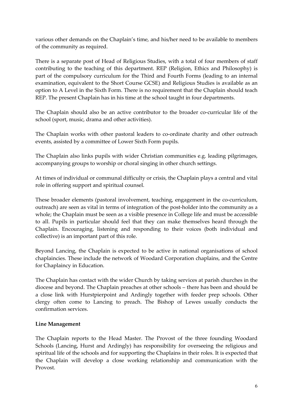various other demands on the Chaplain's time, and his/her need to be available to members of the community as required.

There is a separate post of Head of Religious Studies, with a total of four members of staff contributing to the teaching of this department. REP (Religion, Ethics and Philosophy) is part of the compulsory curriculum for the Third and Fourth Forms (leading to an internal examination, equivalent to the Short Course GCSE) and Religious Studies is available as an option to A Level in the Sixth Form. There is no requirement that the Chaplain should teach REP. The present Chaplain has in his time at the school taught in four departments.

The Chaplain should also be an active contributor to the broader co-curricular life of the school (sport, music, drama and other activities).

The Chaplain works with other pastoral leaders to co-ordinate charity and other outreach events, assisted by a committee of Lower Sixth Form pupils.

The Chaplain also links pupils with wider Christian communities e.g. leading pilgrimages, accompanying groups to worship or choral singing in other church settings.

At times of individual or communal difficulty or crisis, the Chaplain plays a central and vital role in offering support and spiritual counsel.

These broader elements (pastoral involvement, teaching, engagement in the co-curriculum, outreach) are seen as vital in terms of integration of the post-holder into the community as a whole; the Chaplain must be seen as a visible presence in College life and must be accessible to all. Pupils in particular should feel that they can make themselves heard through the Chaplain. Encouraging, listening and responding to their voices (both individual and collective) is an important part of this role.

Beyond Lancing, the Chaplain is expected to be active in national organisations of school chaplaincies. These include the network of Woodard Corporation chaplains, and the Centre for Chaplaincy in Education.

The Chaplain has contact with the wider Church by taking services at parish churches in the diocese and beyond. The Chaplain preaches at other schools – there has been and should be a close link with Hurstpierpoint and Ardingly together with feeder prep schools. Other clergy often come to Lancing to preach. The Bishop of Lewes usually conducts the confirmation services.

#### **Line Management**

The Chaplain reports to the Head Master. The Provost of the three founding Woodard Schools (Lancing, Hurst and Ardingly) has responsibility for overseeing the religious and spiritual life of the schools and for supporting the Chaplains in their roles. It is expected that the Chaplain will develop a close working relationship and communication with the Provost.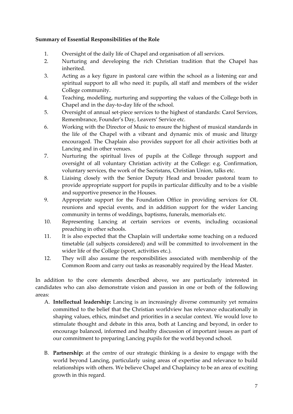## **Summary of Essential Responsibilities of the Role**

- 1. Oversight of the daily life of Chapel and organisation of all services.
- 2. Nurturing and developing the rich Christian tradition that the Chapel has inherited.
- 3. Acting as a key figure in pastoral care within the school as a listening ear and spiritual support to all who need it: pupils, all staff and members of the wider College community.
- 4. Teaching, modelling, nurturing and supporting the values of the College both in Chapel and in the day-to-day life of the school.
- 5. Oversight of annual set-piece services to the highest of standards: Carol Services, Remembrance, Founder's Day, Leavers' Service etc.
- 6. Working with the Director of Music to ensure the highest of musical standards in the life of the Chapel with a vibrant and dynamic mix of music and liturgy encouraged. The Chaplain also provides support for all choir activities both at Lancing and in other venues.
- 7. Nurturing the spiritual lives of pupils at the College through support and oversight of all voluntary Christian activity at the College: e.g. Confirmation, voluntary services, the work of the Sacristans, Christian Union, talks etc.
- 8. Liaising closely with the Senior Deputy Head and broader pastoral team to provide appropriate support for pupils in particular difficulty and to be a visible and supportive presence in the Houses.
- 9. Appropriate support for the Foundation Office in providing services for OL reunions and special events, and in addition support for the wider Lancing community in terms of weddings, baptisms, funerals, memorials etc.
- 10. Representing Lancing at certain services or events, including occasional preaching in other schools.
- 11. It is also expected that the Chaplain will undertake some teaching on a reduced timetable (all subjects considered) and will be committed to involvement in the wider life of the College (sport, activities etc.).
- 12. They will also assume the responsibilities associated with membership of the Common Room and carry out tasks as reasonably required by the Head Master.

In addition to the core elements described above, we are particularly interested in candidates who can also demonstrate vision and passion in one or both of the following areas:

- A. **Intellectual leadership:** Lancing is an increasingly diverse community yet remains committed to the belief that the Christian worldview has relevance educationally in shaping values, ethics, mindset and priorities in a secular context. We would love to stimulate thought and debate in this area, both at Lancing and beyond, in order to encourage balanced, informed and healthy discussion of important issues as part of our commitment to preparing Lancing pupils for the world beyond school.
- B. **Partnership:** at the centre of our strategic thinking is a desire to engage with the world beyond Lancing, particularly using areas of expertise and relevance to build relationships with others. We believe Chapel and Chaplaincy to be an area of exciting growth in this regard.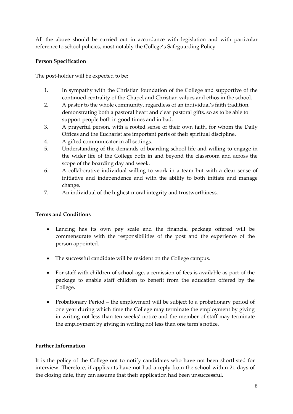All the above should be carried out in accordance with legislation and with particular reference to school policies, most notably the College's Safeguarding Policy.

## **Person Specification**

The post-holder will be expected to be:

- 1. In sympathy with the Christian foundation of the College and supportive of the continued centrality of the Chapel and Christian values and ethos in the school.
- 2. A pastor to the whole community, regardless of an individual's faith tradition, demonstrating both a pastoral heart and clear pastoral gifts, so as to be able to support people both in good times and in bad.
- 3. A prayerful person, with a rooted sense of their own faith, for whom the Daily Offices and the Eucharist are important parts of their spiritual discipline.
- 4. A gifted communicator in all settings.
- 5. Understanding of the demands of boarding school life and willing to engage in the wider life of the College both in and beyond the classroom and across the scope of the boarding day and week.
- 6. A collaborative individual willing to work in a team but with a clear sense of initiative and independence and with the ability to both initiate and manage change.
- 7. An individual of the highest moral integrity and trustworthiness.

#### **Terms and Conditions**

- Lancing has its own pay scale and the financial package offered will be commensurate with the responsibilities of the post and the experience of the person appointed.
- The successful candidate will be resident on the College campus.
- For staff with children of school age, a remission of fees is available as part of the package to enable staff children to benefit from the education offered by the College.
- Probationary Period the employment will be subject to a probationary period of one year during which time the College may terminate the employment by giving in writing not less than ten weeks' notice and the member of staff may terminate the employment by giving in writing not less than one term's notice.

#### **Further Information**

It is the policy of the College not to notify candidates who have not been shortlisted for interview. Therefore, if applicants have not had a reply from the school within 21 days of the closing date, they can assume that their application had been unsuccessful.